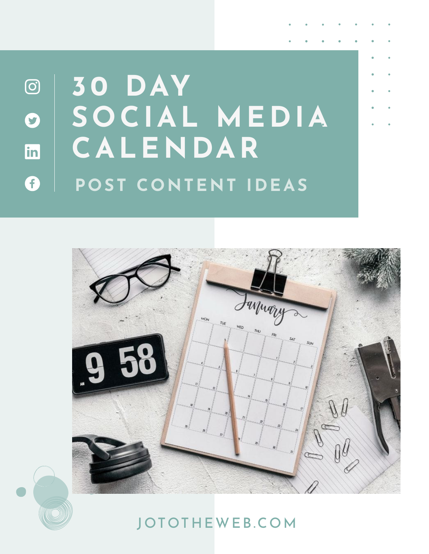## **30 DAY**  $\odot$ **SOCIAL MEDIA**  $\bullet$ **CALENDAR** in G **POST CONTENT IDEAS**





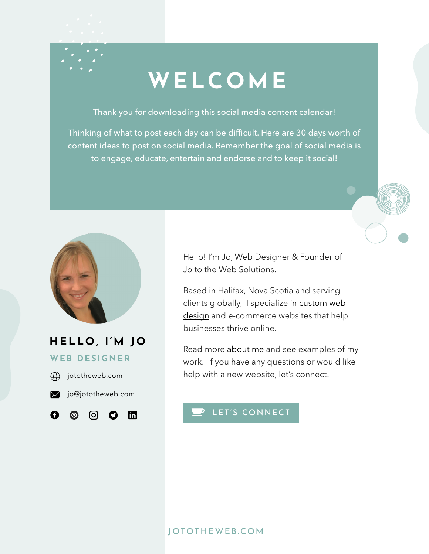# **WELCOME**

Thank you for downloading this social media content calendar!

Thinking of what to post each day can be difficult. Here are 30 days worth of content ideas to post on social media. Remember the goal of social media is to engage, educate, entertain and endorse and to keep it social!



## **HELLO, I'M JO**

**WEB DESIGNER**



A.

 $\odot$ 



രി  $\boldsymbol{\Omega}$  $\mathbf{m}$  Hello! I'm Jo, Web Designer & Founder of Jo to the Web Solutions.

Based in Halifax, Nova Scotia and serving clients globally, I specialize in [custom web](https://jototheweb.com/services) [design](https://jototheweb.com/services) and e-commerce websites that help businesses thrive online.

Read more [about me](https://jototheweb.com/about) and see [examples of my](https://jototheweb.com/portfolio) [work](https://jototheweb.com/portfolio). If you have any questions or would like help with a new website, let's connect!

## P [LET'S CONNECT](https://jototheweb.com)

### [JOTOTHEWEB.COM](https://jototheweb.com)